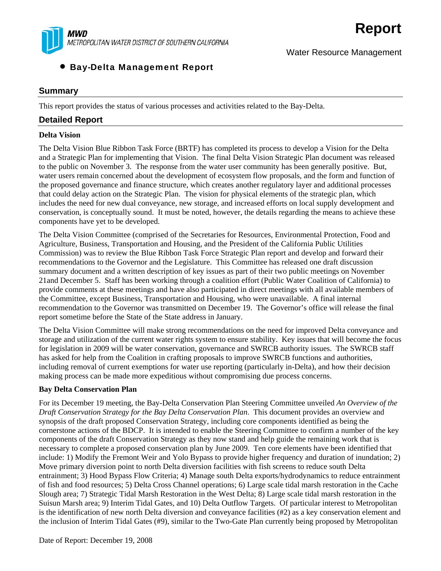

# • Bay-Delta Management Report

### **Summary**

This report provides the status of various processes and activities related to the Bay-Delta.

### **Detailed Report**

#### **Delta Vision**

The Delta Vision Blue Ribbon Task Force (BRTF) has completed its process to develop a Vision for the Delta and a Strategic Plan for implementing that Vision. The final Delta Vision Strategic Plan document was released to the public on November 3. The response from the water user community has been generally positive. But, water users remain concerned about the development of ecosystem flow proposals, and the form and function of the proposed governance and finance structure, which creates another regulatory layer and additional processes that could delay action on the Strategic Plan. The vision for physical elements of the strategic plan, which includes the need for new dual conveyance, new storage, and increased efforts on local supply development and conservation, is conceptually sound. It must be noted, however, the details regarding the means to achieve these components have yet to be developed.

**Report**

Water Resource Management

The Delta Vision Committee (comprised of the Secretaries for Resources, Environmental Protection, Food and Agriculture, Business, Transportation and Housing, and the President of the California Public Utilities Commission) was to review the Blue Ribbon Task Force Strategic Plan report and develop and forward their recommendations to the Governor and the Legislature. This Committee has released one draft discussion summary document and a written description of key issues as part of their two public meetings on November 21and December 5. Staff has been working through a coalition effort (Public Water Coalition of California) to provide comments at these meetings and have also participated in direct meetings with all available members of the Committee, except Business, Transportation and Housing, who were unavailable. A final internal recommendation to the Governor was transmitted on December 19. The Governor's office will release the final report sometime before the State of the State address in January.

The Delta Vision Committee will make strong recommendations on the need for improved Delta conveyance and storage and utilization of the current water rights system to ensure stability. Key issues that will become the focus for legislation in 2009 will be water conservation, governance and SWRCB authority issues. The SWRCB staff has asked for help from the Coalition in crafting proposals to improve SWRCB functions and authorities, including removal of current exemptions for water use reporting (particularly in-Delta), and how their decision making process can be made more expeditious without compromising due process concerns.

#### **Bay Delta Conservation Plan**

For its December 19 meeting, the Bay-Delta Conservation Plan Steering Committee unveiled *An Overview of the Draft Conservation Strategy for the Bay Delta Conservation Plan*. This document provides an overview and synopsis of the draft proposed Conservation Strategy, including core components identified as being the cornerstone actions of the BDCP. It is intended to enable the Steering Committee to confirm a number of the key components of the draft Conservation Strategy as they now stand and help guide the remaining work that is necessary to complete a proposed conservation plan by June 2009. Ten core elements have been identified that include: 1) Modify the Fremont Weir and Yolo Bypass to provide higher frequency and duration of inundation; 2) Move primary diversion point to north Delta diversion facilities with fish screens to reduce south Delta entrainment; 3) Hood Bypass Flow Criteria; 4) Manage south Delta exports/hydrodynamics to reduce entrainment of fish and food resources; 5) Delta Cross Channel operations; 6) Large scale tidal marsh restoration in the Cache Slough area; 7) Strategic Tidal Marsh Restoration in the West Delta; 8) Large scale tidal marsh restoration in the Suisun Marsh area; 9) Interim Tidal Gates, and 10) Delta Outflow Targets. Of particular interest to Metropolitan is the identification of new north Delta diversion and conveyance facilities (#2) as a key conservation element and the inclusion of Interim Tidal Gates (#9), similar to the Two-Gate Plan currently being proposed by Metropolitan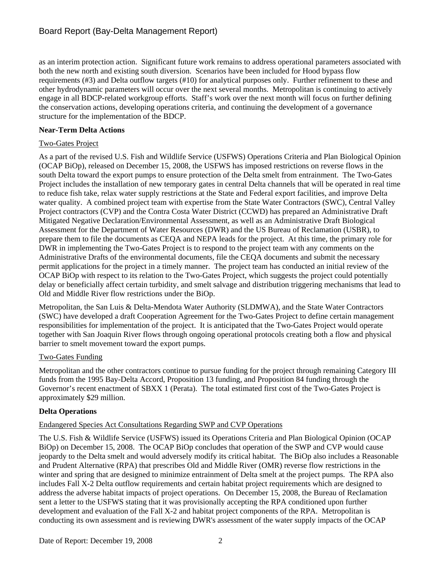as an interim protection action. Significant future work remains to address operational parameters associated with both the new north and existing south diversion. Scenarios have been included for Hood bypass flow requirements (#3) and Delta outflow targets (#10) for analytical purposes only. Further refinement to these and other hydrodynamic parameters will occur over the next several months. Metropolitan is continuing to actively engage in all BDCP-related workgroup efforts. Staff's work over the next month will focus on further defining the conservation actions, developing operations criteria, and continuing the development of a governance structure for the implementation of the BDCP.

### **Near-Term Delta Actions**

### Two-Gates Project

As a part of the revised U.S. Fish and Wildlife Service (USFWS) Operations Criteria and Plan Biological Opinion (OCAP BiOp), released on December 15, 2008, the USFWS has imposed restrictions on reverse flows in the south Delta toward the export pumps to ensure protection of the Delta smelt from entrainment. The Two-Gates Project includes the installation of new temporary gates in central Delta channels that will be operated in real time to reduce fish take, relax water supply restrictions at the State and Federal export facilities, and improve Delta water quality. A combined project team with expertise from the State Water Contractors (SWC), Central Valley Project contractors (CVP) and the Contra Costa Water District (CCWD) has prepared an Administrative Draft Mitigated Negative Declaration/Environmental Assessment, as well as an Administrative Draft Biological Assessment for the Department of Water Resources (DWR) and the US Bureau of Reclamation (USBR), to prepare them to file the documents as CEQA and NEPA leads for the project. At this time, the primary role for DWR in implementing the Two-Gates Project is to respond to the project team with any comments on the Administrative Drafts of the environmental documents, file the CEQA documents and submit the necessary permit applications for the project in a timely manner. The project team has conducted an initial review of the OCAP BiOp with respect to its relation to the Two-Gates Project, which suggests the project could potentially delay or beneficially affect certain turbidity, and smelt salvage and distribution triggering mechanisms that lead to Old and Middle River flow restrictions under the BiOp.

Metropolitan, the San Luis & Delta-Mendota Water Authority (SLDMWA), and the State Water Contractors (SWC) have developed a draft Cooperation Agreement for the Two-Gates Project to define certain management responsibilities for implementation of the project. It is anticipated that the Two-Gates Project would operate together with San Joaquin River flows through ongoing operational protocols creating both a flow and physical barrier to smelt movement toward the export pumps.

### Two-Gates Funding

Metropolitan and the other contractors continue to pursue funding for the project through remaining Category III funds from the 1995 Bay-Delta Accord, Proposition 13 funding, and Proposition 84 funding through the Governor's recent enactment of SBXX 1 (Perata). The total estimated first cost of the Two-Gates Project is approximately \$29 million.

### **Delta Operations**

### Endangered Species Act Consultations Regarding SWP and CVP Operations

The U.S. Fish & Wildlife Service (USFWS) issued its Operations Criteria and Plan Biological Opinion (OCAP BiOp) on December 15, 2008. The OCAP BiOp concludes that operation of the SWP and CVP would cause jeopardy to the Delta smelt and would adversely modify its critical habitat. The BiOp also includes a Reasonable and Prudent Alternative (RPA) that prescribes Old and Middle River (OMR) reverse flow restrictions in the winter and spring that are designed to minimize entrainment of Delta smelt at the project pumps. The RPA also includes Fall X-2 Delta outflow requirements and certain habitat project requirements which are designed to address the adverse habitat impacts of project operations. On December 15, 2008, the Bureau of Reclamation sent a letter to the USFWS stating that it was provisionally accepting the RPA conditioned upon further development and evaluation of the Fall X-2 and habitat project components of the RPA. Metropolitan is conducting its own assessment and is reviewing DWR's assessment of the water supply impacts of the OCAP